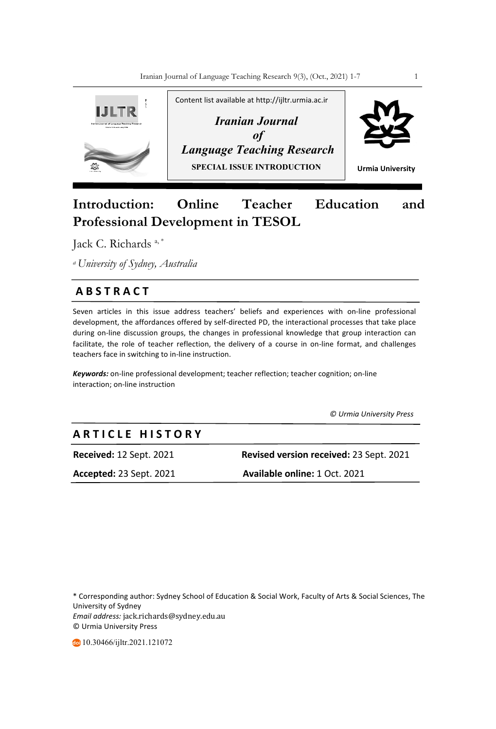

# **Introduction: Online Teacher Education and Professional Development in TESOL**

Jack C. Richards a, \*

*a University of Sydney, Australia*

## **A B S T R A C T**

Seven articles in this issue address teachers' beliefs and experiences with on-line professional development, the affordances offered by self-directed PD, the interactional processes that take place during on-line discussion groups, the changes in professional knowledge that group interaction can facilitate, the role of teacher reflection, the delivery of a course in on-line format, and challenges teachers face in switching to in-line instruction.

*Keywords:* on-line professional development; teacher reflection; teacher cognition; on-line interaction; on-line instruction

 *© Urmia University Press*

# **A R T I C L E H I S T O R Y**

**Received:** 12 Sept. 2021 **Revised version received:** 23 Sept. 2021

**Accepted:** 23 Sept. 2021 **Available online:** 1 Oct. 2021

\* Corresponding author: Sydney School of Education & Social Work, Faculty of Arts & Social Sciences, The University of Sydney *Email address:* jack.richards@sydney.edu.au © Urmia University Press

10.30466/ijltr.2021.121072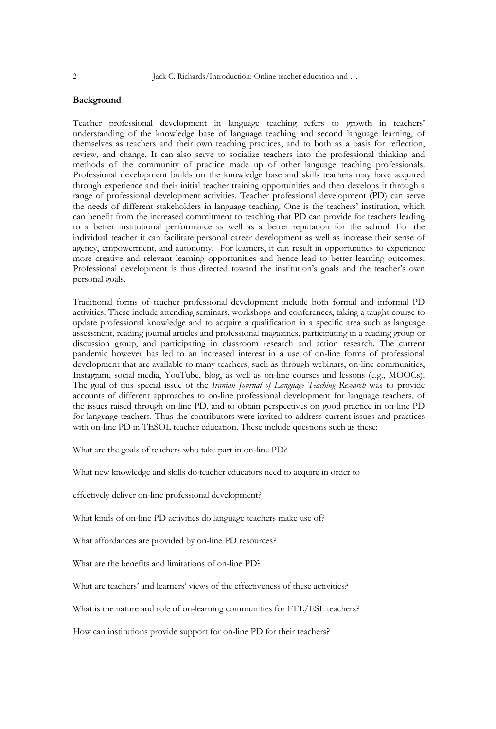### **Background**

Teacher professional development in language teaching refers to growth in teachers' understanding of the knowledge base of language teaching and second language learning, of themselves as teachers and their own teaching practices, and to both as a basis for reflection, review, and change. It can also serve to socialize teachers into the professional thinking and methods of the community of practice made up of other language teaching professionals. Professional development builds on the knowledge base and skills teachers may have acquired through experience and their initial teacher training opportunities and then develops it through a range of professional development activities. Teacher professional development (PD) can serve the needs of different stakeholders in language teaching. One is the teachers' institution, which can benefit from the increased commitment to teaching that PD can provide for teachers leading to a better institutional performance as well as a better reputation for the school. For the individual teacher it can facilitate personal career development as well as increase their sense of agency, empowerment, and autonomy. For learners, it can result in opportunities to experience more creative and relevant learning opportunities and hence lead to better learning outcomes. Professional development is thus directed toward the institution's goals and the teacher's own personal goals.

Traditional forms of teacher professional development include both formal and informal PD activities. These include attending seminars, workshops and conferences, taking a taught course to update professional knowledge and to acquire a qualification in a specific area such as language assessment, reading journal articles and professional magazines, participating in a reading group or discussion group, and participating in classroom research and action research. The current pandemic however has led to an increased interest in a use of on-line forms of professional development that are available to many teachers, such as through webinars, on-line communities, Instagram, social media, YouTube, blog, as well as on-line courses and lessons (e.g., MOOCs). The goal of this special issue of the *Iranian Journal of Language Teaching Research* was to provide accounts of different approaches to on-line professional development for language teachers, of the issues raised through on-line PD, and to obtain perspectives on good practice in on-line PD for language teachers. Thus the contributors were invited to address current issues and practices with on-line PD in TESOL teacher education. These include questions such as these:

What are the goals of teachers who take part in on-line PD?

What new knowledge and skills do teacher educators need to acquire in order to

effectively deliver on-line professional development?

What kinds of on-line PD activities do language teachers make use of?

What affordances are provided by on-line PD resources?

What are the benefits and limitations of on-line PD?

What are teachers' and learners' views of the effectiveness of these activities?

What is the nature and role of on-learning communities for EFL/ESL teachers?

How can institutions provide support for on-line PD for their teachers?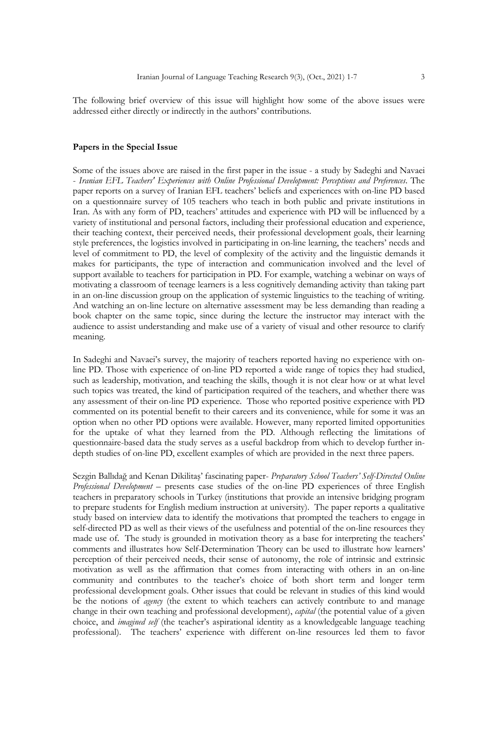The following brief overview of this issue will highlight how some of the above issues were addressed either directly or indirectly in the authors' contributions.

#### **Papers in the Special Issue**

Some of the issues above are raised in the first paper in the issue - a study by Sadeghi and Navaei - *Iranian EFL Teachers' Experiences with Online Professional Development: Perceptions and Preferences*. The paper reports on a survey of Iranian EFL teachers' beliefs and experiences with on-line PD based on a questionnaire survey of 105 teachers who teach in both public and private institutions in Iran. As with any form of PD, teachers' attitudes and experience with PD will be influenced by a variety of institutional and personal factors, including their professional education and experience, their teaching context, their perceived needs, their professional development goals, their learning style preferences, the logistics involved in participating in on-line learning, the teachers' needs and level of commitment to PD, the level of complexity of the activity and the linguistic demands it makes for participants, the type of interaction and communication involved and the level of support available to teachers for participation in PD. For example, watching a webinar on ways of motivating a classroom of teenage learners is a less cognitively demanding activity than taking part in an on-line discussion group on the application of systemic linguistics to the teaching of writing. And watching an on-line lecture on alternative assessment may be less demanding than reading a book chapter on the same topic, since during the lecture the instructor may interact with the audience to assist understanding and make use of a variety of visual and other resource to clarify meaning.

In Sadeghi and Navaei's survey, the majority of teachers reported having no experience with online PD. Those with experience of on-line PD reported a wide range of topics they had studied, such as leadership, motivation, and teaching the skills, though it is not clear how or at what level such topics was treated, the kind of participation required of the teachers, and whether there was any assessment of their on-line PD experience. Those who reported positive experience with PD commented on its potential benefit to their careers and its convenience, while for some it was an option when no other PD options were available. However, many reported limited opportunities for the uptake of what they learned from the PD. Although reflecting the limitations of questionnaire-based data the study serves as a useful backdrop from which to develop further indepth studies of on-line PD, excellent examples of which are provided in the next three papers.

Sezgin Ballıdağ and Kenan Dikilitaş' fascinating paper- *Preparatory School Teachers' Self-Directed Online Professional Development –* presents case studies of the on-line PD experiences of three English teachers in preparatory schools in Turkey (institutions that provide an intensive bridging program to prepare students for English medium instruction at university). The paper reports a qualitative study based on interview data to identify the motivations that prompted the teachers to engage in self-directed PD as well as their views of the usefulness and potential of the on-line resources they made use of. The study is grounded in motivation theory as a base for interpreting the teachers' comments and illustrates how Self-Determination Theory can be used to illustrate how learners' perception of their perceived needs, their sense of autonomy, the role of intrinsic and extrinsic motivation as well as the affirmation that comes from interacting with others in an on-line community and contributes to the teacher's choice of both short term and longer term professional development goals. Other issues that could be relevant in studies of this kind would be the notions of *agency* (the extent to which teachers can actively contribute to and manage change in their own teaching and professional development), *capital* (the potential value of a given choice, and *imagined self* (the teacher's aspirational identity as a knowledgeable language teaching professional). The teachers' experience with different on-line resources led them to favor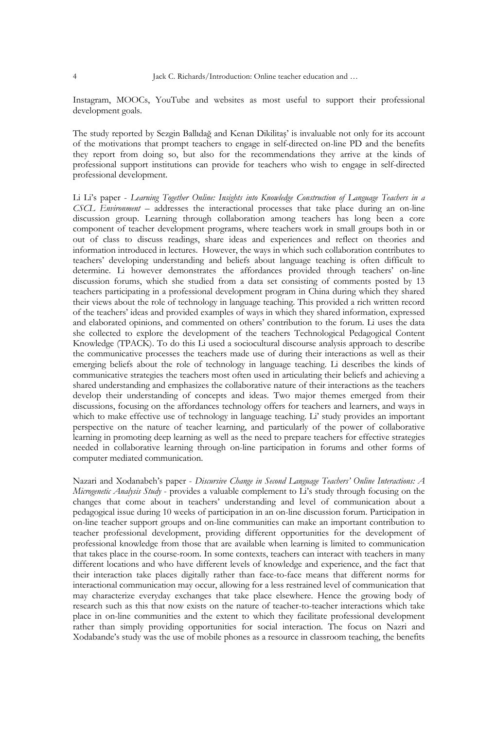Instagram, MOOCs, YouTube and websites as most useful to support their professional development goals.

The study reported by Sezgin Ballıdağ and Kenan Dikilitaş' is invaluable not only for its account of the motivations that prompt teachers to engage in self-directed on-line PD and the benefits they report from doing so, but also for the recommendations they arrive at the kinds of professional support institutions can provide for teachers who wish to engage in self-directed professional development.

Li Li's paper - *Learning Together Online: Insights into Knowledge Construction of Language Teachers in a CSCL Environment* – addresses the interactional processes that take place during an on-line discussion group. Learning through collaboration among teachers has long been a core component of teacher development programs, where teachers work in small groups both in or out of class to discuss readings, share ideas and experiences and reflect on theories and information introduced in lectures. However, the ways in which such collaboration contributes to teachers' developing understanding and beliefs about language teaching is often difficult to determine. Li however demonstrates the affordances provided through teachers' on-line discussion forums, which she studied from a data set consisting of comments posted by 13 teachers participating in a professional development program in China during which they shared their views about the role of technology in language teaching. This provided a rich written record of the teachers' ideas and provided examples of ways in which they shared information, expressed and elaborated opinions, and commented on others' contribution to the forum. Li uses the data she collected to explore the development of the teachers Technological Pedagogical Content Knowledge (TPACK). To do this Li used a sociocultural discourse analysis approach to describe the communicative processes the teachers made use of during their interactions as well as their emerging beliefs about the role of technology in language teaching. Li describes the kinds of communicative strategies the teachers most often used in articulating their beliefs and achieving a shared understanding and emphasizes the collaborative nature of their interactions as the teachers develop their understanding of concepts and ideas. Two major themes emerged from their discussions, focusing on the affordances technology offers for teachers and learners, and ways in which to make effective use of technology in language teaching. Li' study provides an important perspective on the nature of teacher learning, and particularly of the power of collaborative learning in promoting deep learning as well as the need to prepare teachers for effective strategies needed in collaborative learning through on-line participation in forums and other forms of computer mediated communication.

Nazari and Xodanabeh's paper - *Discursive Change in Second Language Teachers' Online Interactions: A Microgenetic Analysis Study* - provides a valuable complement to Li's study through focusing on the changes that come about in teachers' understanding and level of communication about a pedagogical issue during 10 weeks of participation in an on-line discussion forum. Participation in on-line teacher support groups and on-line communities can make an important contribution to teacher professional development, providing different opportunities for the development of professional knowledge from those that are available when learning is limited to communication that takes place in the course-room. In some contexts, teachers can interact with teachers in many different locations and who have different levels of knowledge and experience, and the fact that their interaction take places digitally rather than face-to-face means that different norms for interactional communication may occur, allowing for a less restrained level of communication that may characterize everyday exchanges that take place elsewhere. Hence the growing body of research such as this that now exists on the nature of teacher-to-teacher interactions which take place in on-line communities and the extent to which they facilitate professional development rather than simply providing opportunities for social interaction. The focus on Nazri and Xodabande's study was the use of mobile phones as a resource in classroom teaching, the benefits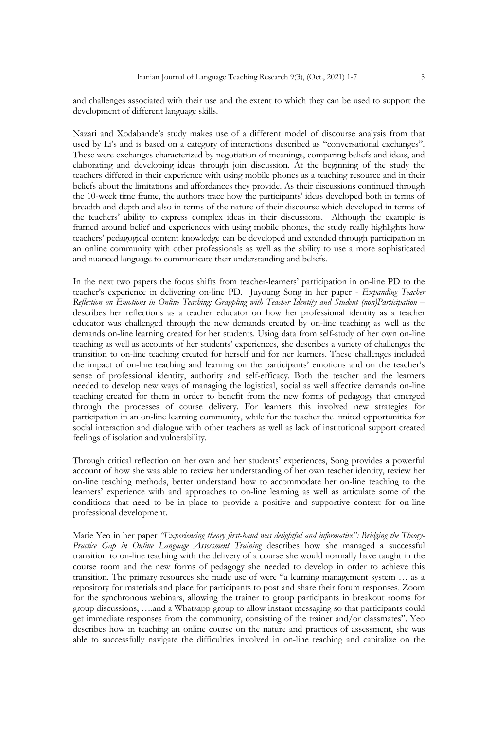and challenges associated with their use and the extent to which they can be used to support the development of different language skills.

Nazari and Xodabande's study makes use of a different model of discourse analysis from that used by Li's and is based on a category of interactions described as "conversational exchanges". These were exchanges characterized by negotiation of meanings, comparing beliefs and ideas, and elaborating and developing ideas through join discussion. At the beginning of the study the teachers differed in their experience with using mobile phones as a teaching resource and in their beliefs about the limitations and affordances they provide. As their discussions continued through the 10-week time frame, the authors trace how the participants' ideas developed both in terms of breadth and depth and also in terms of the nature of their discourse which developed in terms of the teachers' ability to express complex ideas in their discussions. Although the example is framed around belief and experiences with using mobile phones, the study really highlights how teachers' pedagogical content knowledge can be developed and extended through participation in an online community with other professionals as well as the ability to use a more sophisticated and nuanced language to communicate their understanding and beliefs.

In the next two papers the focus shifts from teacher-learners' participation in on-line PD to the teacher's experience in delivering on-line PD. Juyoung Song in her paper - *Expanding Teacher Reflection on Emotions in Online Teaching: Grappling with Teacher Identity and Student (non)Participation –* describes her reflections as a teacher educator on how her professional identity as a teacher educator was challenged through the new demands created by on-line teaching as well as the demands on-line learning created for her students. Using data from self-study of her own on-line teaching as well as accounts of her students' experiences, she describes a variety of challenges the transition to on-line teaching created for herself and for her learners. These challenges included the impact of on-line teaching and learning on the participants' emotions and on the teacher's sense of professional identity, authority and self-efficacy. Both the teacher and the learners needed to develop new ways of managing the logistical, social as well affective demands on-line teaching created for them in order to benefit from the new forms of pedagogy that emerged through the processes of course delivery. For learners this involved new strategies for participation in an on-line learning community, while for the teacher the limited opportunities for social interaction and dialogue with other teachers as well as lack of institutional support created feelings of isolation and vulnerability.

Through critical reflection on her own and her students' experiences, Song provides a powerful account of how she was able to review her understanding of her own teacher identity, review her on-line teaching methods, better understand how to accommodate her on-line teaching to the learners' experience with and approaches to on-line learning as well as articulate some of the conditions that need to be in place to provide a positive and supportive context for on-line professional development.

Marie Yeo in her paper *"Experiencing theory first-hand was delightful and informative": Bridging the Theory-Practice Gap in Online Language Assessment Training* describes how she managed a successful transition to on-line teaching with the delivery of a course she would normally have taught in the course room and the new forms of pedagogy she needed to develop in order to achieve this transition. The primary resources she made use of were "a learning management system … as a repository for materials and place for participants to post and share their forum responses, Zoom for the synchronous webinars, allowing the trainer to group participants in breakout rooms for group discussions, ….and a Whatsapp group to allow instant messaging so that participants could get immediate responses from the community, consisting of the trainer and/or classmates". Yeo describes how in teaching an online course on the nature and practices of assessment, she was able to successfully navigate the difficulties involved in on-line teaching and capitalize on the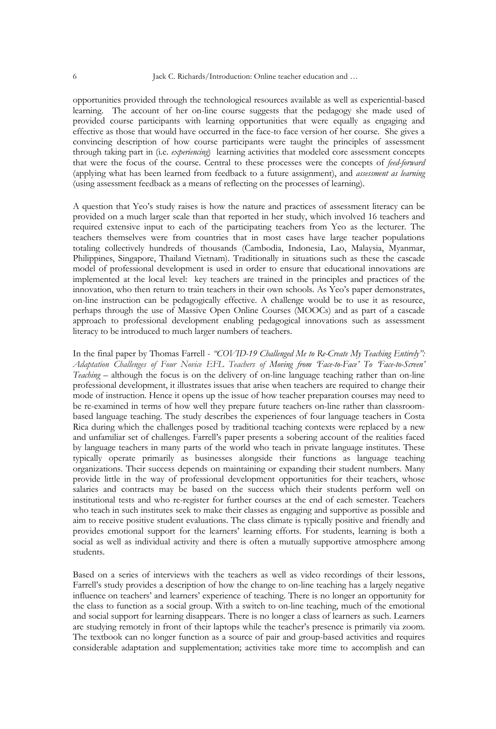opportunities provided through the technological resources available as well as experiential-based learning. The account of her on-line course suggests that the pedagogy she made used of provided course participants with learning opportunities that were equally as engaging and effective as those that would have occurred in the face-to face version of her course. She gives a convincing description of how course participants were taught the principles of assessment through taking part in (i.e. *experiencing*) learning activities that modeled core assessment concepts that were the focus of the course. Central to these processes were the concepts of *feed-forward* (applying what has been learned from feedback to a future assignment), and *assessment as learning* (using assessment feedback as a means of reflecting on the processes of learning).

A question that Yeo's study raises is how the nature and practices of assessment literacy can be provided on a much larger scale than that reported in her study, which involved 16 teachers and required extensive input to each of the participating teachers from Yeo as the lecturer. The teachers themselves were from countries that in most cases have large teacher populations totaling collectively hundreds of thousands (Cambodia, Indonesia, Lao, Malaysia, Myanmar, Philippines, Singapore, Thailand Vietnam). Traditionally in situations such as these the cascade model of professional development is used in order to ensure that educational innovations are implemented at the local level: key teachers are trained in the principles and practices of the innovation, who then return to train teachers in their own schools. As Yeo's paper demonstrates, on-line instruction can be pedagogically effective. A challenge would be to use it as resource, perhaps through the use of Massive Open Online Courses (MOOCs) and as part of a cascade approach to professional development enabling pedagogical innovations such as assessment literacy to be introduced to much larger numbers of teachers.

In the final paper by Thomas Farrell - *"COVID-19 Challenged Me to Re-Create My Teaching Entirely": Adaptation Challenges of Four Novice EFL Teachers of Moving from 'Face-to-Face' To 'Face-to-Screen' Teaching –* although the focus is on the delivery of on-line language teaching rather than on-line professional development, it illustrates issues that arise when teachers are required to change their mode of instruction. Hence it opens up the issue of how teacher preparation courses may need to be re-examined in terms of how well they prepare future teachers on-line rather than classroombased language teaching. The study describes the experiences of four language teachers in Costa Rica during which the challenges posed by traditional teaching contexts were replaced by a new and unfamiliar set of challenges. Farrell's paper presents a sobering account of the realities faced by language teachers in many parts of the world who teach in private language institutes. These typically operate primarily as businesses alongside their functions as language teaching organizations. Their success depends on maintaining or expanding their student numbers. Many provide little in the way of professional development opportunities for their teachers, whose salaries and contracts may be based on the success which their students perform well on institutional tests and who re-register for further courses at the end of each semester. Teachers who teach in such institutes seek to make their classes as engaging and supportive as possible and aim to receive positive student evaluations. The class climate is typically positive and friendly and provides emotional support for the learners' learning efforts. For students, learning is both a social as well as individual activity and there is often a mutually supportive atmosphere among students.

Based on a series of interviews with the teachers as well as video recordings of their lessons, Farrell's study provides a description of how the change to on-line teaching has a largely negative influence on teachers' and learners' experience of teaching. There is no longer an opportunity for the class to function as a social group. With a switch to on-line teaching, much of the emotional and social support for learning disappears. There is no longer a class of learners as such. Learners are studying remotely in front of their laptops while the teacher's presence is primarily via zoom. The textbook can no longer function as a source of pair and group-based activities and requires considerable adaptation and supplementation; activities take more time to accomplish and can